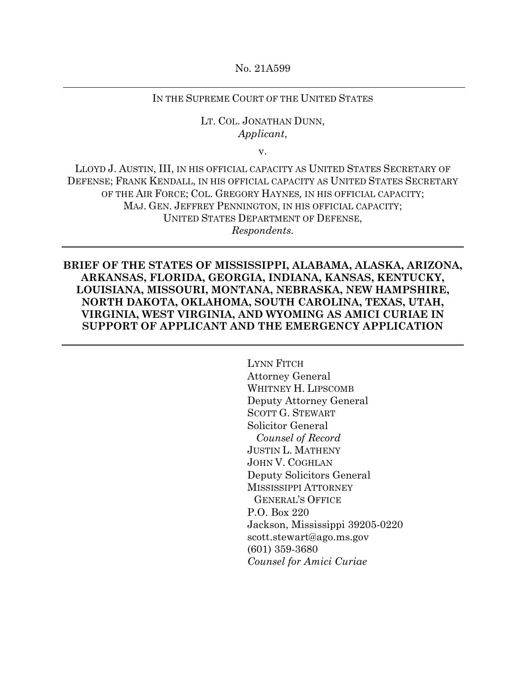No. 21A599

## IN THE SUPREME COURT OF THE UNITED STATES

## LT. COL. JONATHAN DUNN, *Applicant*,

v.

LLOYD J. AUSTIN, III, IN HIS OFFICIAL CAPACITY AS UNITED STATES SECRETARY OF DEFENSE; FRANK KENDALL, IN HIS OFFICIAL CAPACITY AS UNITED STATES SECRETARY OF THE AIR FORCE; COL. GREGORY HAYNES*,* IN HIS OFFICIAL CAPACITY; MAJ. GEN. JEFFREY PENNINGTON, IN HIS OFFICIAL CAPACITY; UNITED STATES DEPARTMENT OF DEFENSE, *Respondents.*

**BRIEF OF THE STATES OF MISSISSIPPI, ALABAMA, ALASKA, ARIZONA, ARKANSAS, FLORIDA, GEORGIA, INDIANA, KANSAS, KENTUCKY, LOUISIANA, MISSOURI, MONTANA, NEBRASKA, NEW HAMPSHIRE, NORTH DAKOTA, OKLAHOMA, SOUTH CAROLINA, TEXAS, UTAH, VIRGINIA, WEST VIRGINIA, AND WYOMING AS AMICI CURIAE IN SUPPORT OF APPLICANT AND THE EMERGENCY APPLICATION**

> LYNN FITCH Attorney General WHITNEY H. LIPSCOMB Deputy Attorney General SCOTT G. STEWART Solicitor General  *Counsel of Record* JUSTIN L. MATHENY JOHN V. COGHLAN Deputy Solicitors General MISSISSIPPI ATTORNEY GENERAL'S OFFICE P.O. Box 220 Jackson, Mississippi 39205-0220 scott.stewart@ago.ms.gov (601) 359-3680 *Counsel for Amici Curiae*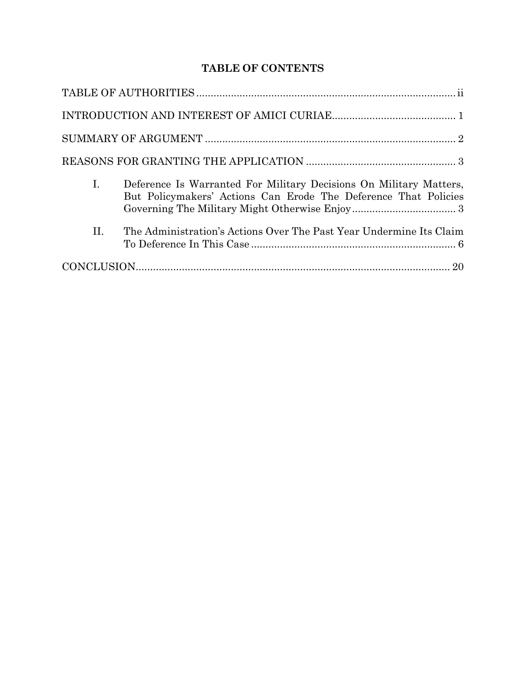# **TABLE OF CONTENTS**

| I.  | Deference Is Warranted For Military Decisions On Military Matters,<br>But Policymakers' Actions Can Erode The Deference That Policies |  |
|-----|---------------------------------------------------------------------------------------------------------------------------------------|--|
| II. | The Administration's Actions Over The Past Year Undermine Its Claim                                                                   |  |
|     |                                                                                                                                       |  |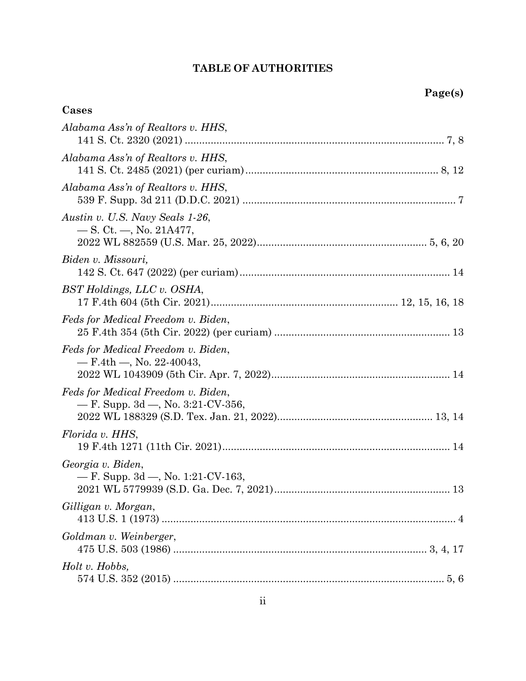# **TABLE OF AUTHORITIES**

## **Cases**

| Alabama Ass'n of Realtors v. HHS,                                            |
|------------------------------------------------------------------------------|
| Alabama Ass'n of Realtors v. HHS,                                            |
| Alabama Ass'n of Realtors v. HHS,                                            |
| Austin v. U.S. Navy Seals 1-26,<br>$\sim$ S. Ct. $\sim$ , No. 21A477,        |
| Biden v. Missouri,                                                           |
| BST Holdings, LLC v. OSHA,                                                   |
| Feds for Medical Freedom v. Biden,                                           |
| Feds for Medical Freedom v. Biden,<br>$-$ F.4th $-$ , No. 22-40043,          |
| Feds for Medical Freedom v. Biden,<br>$-$ F. Supp. 3d $-$ , No. 3:21-CV-356, |
| Florida v. HHS,                                                              |
| Georgia v. Biden,<br>$-$ F. Supp. 3d $-$ , No. 1:21-CV-163,                  |
| Gilligan v. Morgan,                                                          |
| Goldman v. Weinberger,                                                       |
| Holt v. Hobbs,                                                               |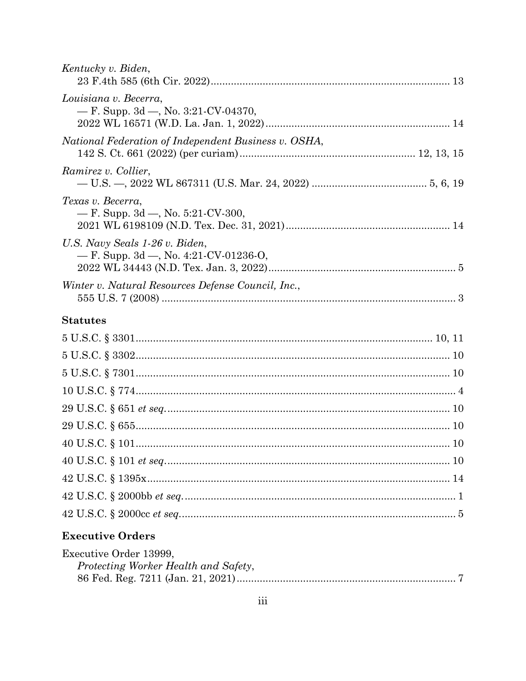# **Executive Orders**

| Executive Order 13999,               |  |
|--------------------------------------|--|
| Protecting Worker Health and Safety, |  |
|                                      |  |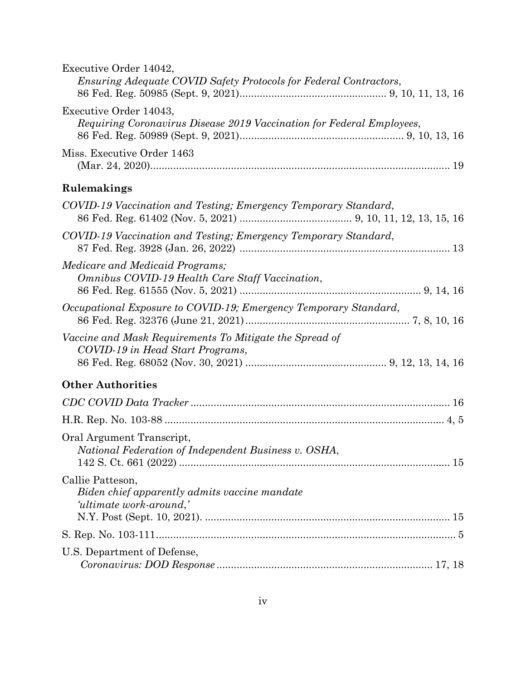| Executive Order 14042,<br>Ensuring Adequate COVID Safety Protocols for Federal Contractors,     |
|-------------------------------------------------------------------------------------------------|
| Executive Order 14043,<br>Requiring Coronavirus Disease 2019 Vaccination for Federal Employees, |
| Miss. Executive Order 1463                                                                      |
| Rulemakings                                                                                     |
| COVID-19 Vaccination and Testing; Emergency Temporary Standard,                                 |
| COVID-19 Vaccination and Testing; Emergency Temporary Standard,                                 |
| Medicare and Medicaid Programs;<br>Omnibus COVID-19 Health Care Staff Vaccination,              |
| Occupational Exposure to COVID-19; Emergency Temporary Standard,                                |
| Vaccine and Mask Requirements To Mitigate the Spread of<br>COVID-19 in Head Start Programs,     |
| <b>Other Authorities</b>                                                                        |
|                                                                                                 |
|                                                                                                 |
| Oral Argument Transcript,<br>National Federation of Independent Business v. OSHA,               |
| Callie Patteson,<br>Biden chief apparently admits vaccine mandate<br>'ultimate work-around,'    |
|                                                                                                 |
| U.S. Department of Defense,                                                                     |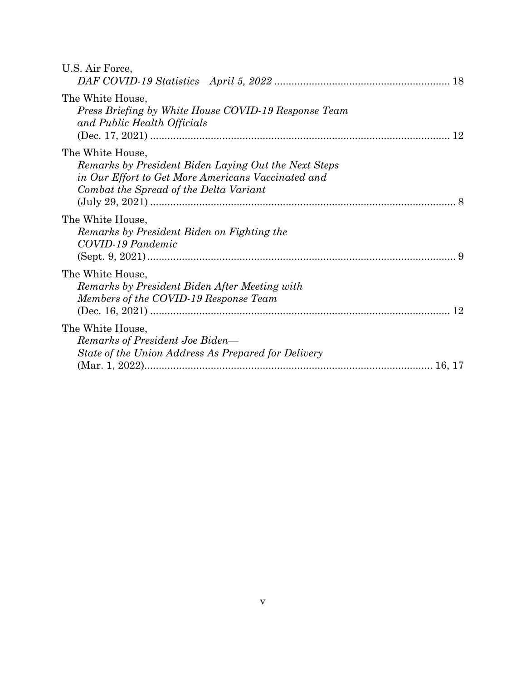| U.S. Air Force,                                                                                                                                                          |    |
|--------------------------------------------------------------------------------------------------------------------------------------------------------------------------|----|
| The White House,<br>Press Briefing by White House COVID-19 Response Team<br>and Public Health Officials                                                                  | 12 |
| The White House,<br>Remarks by President Biden Laying Out the Next Steps<br>in Our Effort to Get More Americans Vaccinated and<br>Combat the Spread of the Delta Variant |    |
| The White House,<br>Remarks by President Biden on Fighting the<br>COVID-19 Pandemic                                                                                      |    |
| The White House,<br>Remarks by President Biden After Meeting with<br>Members of the COVID-19 Response Team                                                               | 12 |
| The White House,<br>Remarks of President Joe Biden—<br>State of the Union Address As Prepared for Delivery                                                               |    |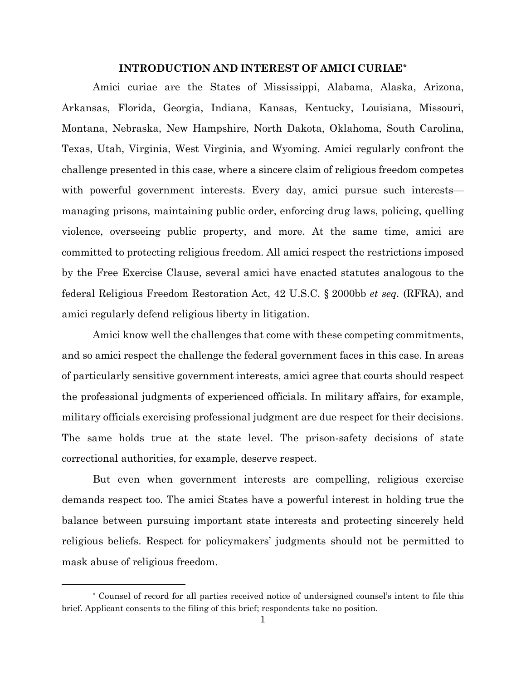### **INTRODUCTION AND INTEREST OF AMICI CURIAE[\\*](#page-6-0)**

Amici curiae are the States of Mississippi, Alabama, Alaska, Arizona, Arkansas, Florida, Georgia, Indiana, Kansas, Kentucky, Louisiana, Missouri, Montana, Nebraska, New Hampshire, North Dakota, Oklahoma, South Carolina, Texas, Utah, Virginia, West Virginia, and Wyoming. Amici regularly confront the challenge presented in this case, where a sincere claim of religious freedom competes with powerful government interests. Every day, amici pursue such interests managing prisons, maintaining public order, enforcing drug laws, policing, quelling violence, overseeing public property, and more. At the same time, amici are committed to protecting religious freedom. All amici respect the restrictions imposed by the Free Exercise Clause, several amici have enacted statutes analogous to the federal Religious Freedom Restoration Act, 42 U.S.C. § 2000bb *et seq.* (RFRA), and amici regularly defend religious liberty in litigation.

Amici know well the challenges that come with these competing commitments, and so amici respect the challenge the federal government faces in this case. In areas of particularly sensitive government interests, amici agree that courts should respect the professional judgments of experienced officials. In military affairs, for example, military officials exercising professional judgment are due respect for their decisions. The same holds true at the state level. The prison-safety decisions of state correctional authorities, for example, deserve respect.

But even when government interests are compelling, religious exercise demands respect too. The amici States have a powerful interest in holding true the balance between pursuing important state interests and protecting sincerely held religious beliefs. Respect for policymakers' judgments should not be permitted to mask abuse of religious freedom.

<span id="page-6-0"></span><sup>\*</sup> Counsel of record for all parties received notice of undersigned counsel's intent to file this brief. Applicant consents to the filing of this brief; respondents take no position.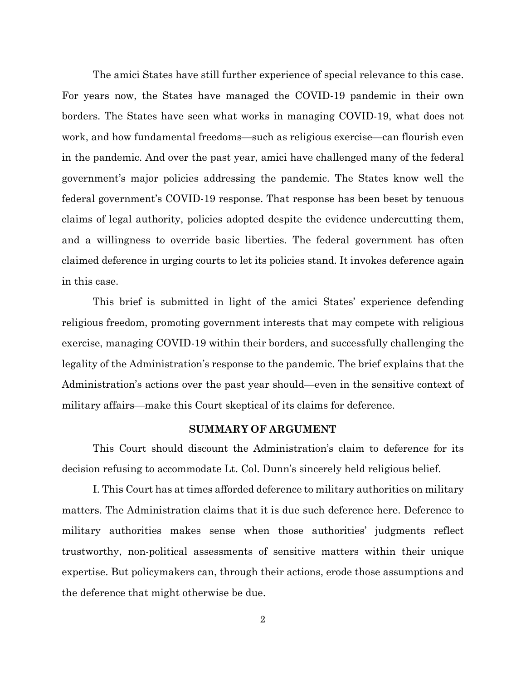The amici States have still further experience of special relevance to this case. For years now, the States have managed the COVID-19 pandemic in their own borders. The States have seen what works in managing COVID-19, what does not work, and how fundamental freedoms—such as religious exercise—can flourish even in the pandemic. And over the past year, amici have challenged many of the federal government's major policies addressing the pandemic. The States know well the federal government's COVID-19 response. That response has been beset by tenuous claims of legal authority, policies adopted despite the evidence undercutting them, and a willingness to override basic liberties. The federal government has often claimed deference in urging courts to let its policies stand. It invokes deference again in this case.

This brief is submitted in light of the amici States' experience defending religious freedom, promoting government interests that may compete with religious exercise, managing COVID-19 within their borders, and successfully challenging the legality of the Administration's response to the pandemic. The brief explains that the Administration's actions over the past year should—even in the sensitive context of military affairs—make this Court skeptical of its claims for deference.

#### **SUMMARY OF ARGUMENT**

This Court should discount the Administration's claim to deference for its decision refusing to accommodate Lt. Col. Dunn's sincerely held religious belief.

I. This Court has at times afforded deference to military authorities on military matters. The Administration claims that it is due such deference here. Deference to military authorities makes sense when those authorities' judgments reflect trustworthy, non-political assessments of sensitive matters within their unique expertise. But policymakers can, through their actions, erode those assumptions and the deference that might otherwise be due.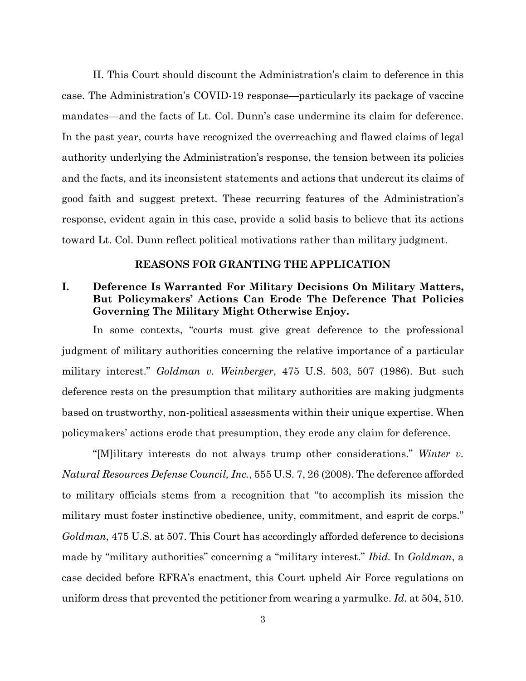II. This Court should discount the Administration's claim to deference in this case. The Administration's COVID-19 response—particularly its package of vaccine mandates—and the facts of Lt. Col. Dunn's case undermine its claim for deference. In the past year, courts have recognized the overreaching and flawed claims of legal authority underlying the Administration's response, the tension between its policies and the facts, and its inconsistent statements and actions that undercut its claims of good faith and suggest pretext. These recurring features of the Administration's response, evident again in this case, provide a solid basis to believe that its actions toward Lt. Col. Dunn reflect political motivations rather than military judgment.

### **REASONS FOR GRANTING THE APPLICATION**

## **I. Deference Is Warranted For Military Decisions On Military Matters, But Policymakers' Actions Can Erode The Deference That Policies Governing The Military Might Otherwise Enjoy.**

In some contexts, "courts must give great deference to the professional judgment of military authorities concerning the relative importance of a particular military interest." *Goldman v. Weinberger*, 475 U.S. 503, 507 (1986). But such deference rests on the presumption that military authorities are making judgments based on trustworthy, non-political assessments within their unique expertise. When policymakers' actions erode that presumption, they erode any claim for deference.

"[M]ilitary interests do not always trump other considerations." *Winter v. Natural Resources Defense Council, Inc.*, 555 U.S. 7, 26 (2008). The deference afforded to military officials stems from a recognition that "to accomplish its mission the military must foster instinctive obedience, unity, commitment, and esprit de corps." *Goldman*, 475 U.S. at 507. This Court has accordingly afforded deference to decisions made by "military authorities" concerning a "military interest." *Ibid.* In *Goldman*, a case decided before RFRA's enactment, this Court upheld Air Force regulations on uniform dress that prevented the petitioner from wearing a yarmulke. *Id.* at 504, 510.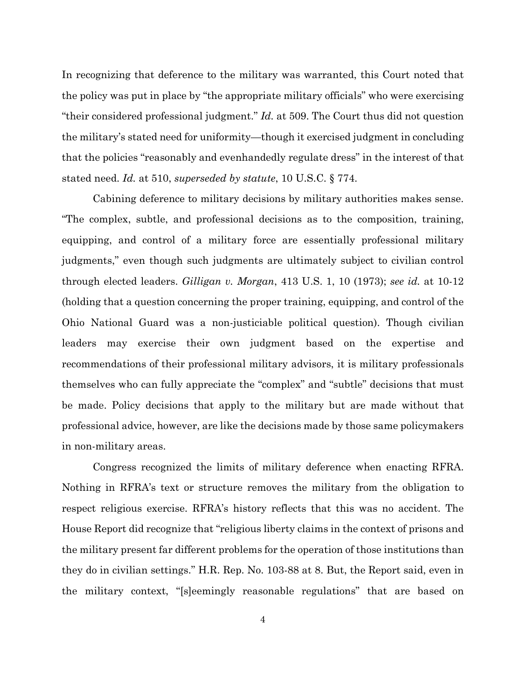In recognizing that deference to the military was warranted, this Court noted that the policy was put in place by "the appropriate military officials" who were exercising "their considered professional judgment." *Id.* at 509. The Court thus did not question the military's stated need for uniformity—though it exercised judgment in concluding that the policies "reasonably and evenhandedly regulate dress" in the interest of that stated need. *Id.* at 510, *superseded by statute*, 10 U.S.C. § 774.

Cabining deference to military decisions by military authorities makes sense. "The complex, subtle, and professional decisions as to the composition, training, equipping, and control of a military force are essentially professional military judgments," even though such judgments are ultimately subject to civilian control through elected leaders. *Gilligan v. Morgan*, 413 U.S. 1, 10 (1973); *see id.* at 10-12 (holding that a question concerning the proper training, equipping, and control of the Ohio National Guard was a non-justiciable political question). Though civilian leaders may exercise their own judgment based on the expertise and recommendations of their professional military advisors, it is military professionals themselves who can fully appreciate the "complex" and "subtle" decisions that must be made. Policy decisions that apply to the military but are made without that professional advice, however, are like the decisions made by those same policymakers in non-military areas.

Congress recognized the limits of military deference when enacting RFRA. Nothing in RFRA's text or structure removes the military from the obligation to respect religious exercise. RFRA's history reflects that this was no accident. The House Report did recognize that "religious liberty claims in the context of prisons and the military present far different problems for the operation of those institutions than they do in civilian settings." H.R. Rep. No. 103-88 at 8. But, the Report said, even in the military context, "[s]eemingly reasonable regulations" that are based on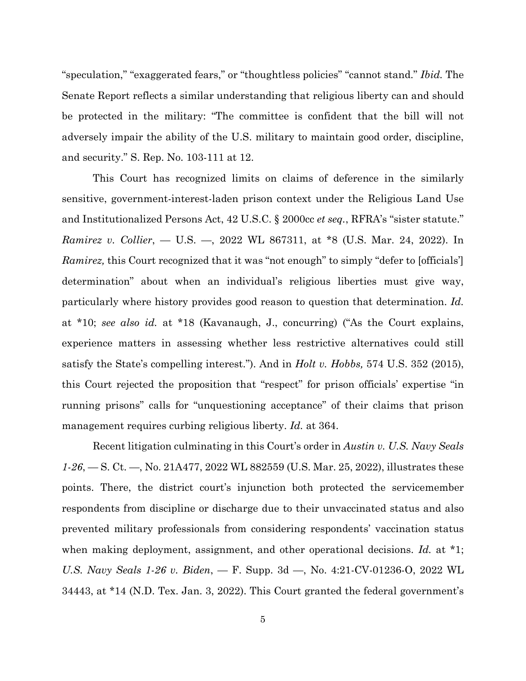"speculation," "exaggerated fears," or "thoughtless policies" "cannot stand." *Ibid.* The Senate Report reflects a similar understanding that religious liberty can and should be protected in the military: "The committee is confident that the bill will not adversely impair the ability of the U.S. military to maintain good order, discipline, and security." S. Rep. No. 103-111 at 12.

This Court has recognized limits on claims of deference in the similarly sensitive, government-interest-laden prison context under the Religious Land Use and Institutionalized Persons Act, 42 U.S.C. § 2000cc *et seq.*, RFRA's "sister statute." *Ramirez v. Collier*, — U.S. —, 2022 WL 867311, at \*8 (U.S. Mar. 24, 2022). In *Ramirez*, this Court recognized that it was "not enough" to simply "defer to [officials'] determination" about when an individual's religious liberties must give way, particularly where history provides good reason to question that determination. *Id.* at \*10; *see also id.* at \*18 (Kavanaugh, J., concurring) ("As the Court explains, experience matters in assessing whether less restrictive alternatives could still satisfy the State's compelling interest."). And in *Holt v. Hobbs,* 574 U.S. 352 (2015), this Court rejected the proposition that "respect" for prison officials' expertise "in running prisons" calls for "unquestioning acceptance" of their claims that prison management requires curbing religious liberty. *Id.* at 364.

Recent litigation culminating in this Court's order in *Austin v. U.S. Navy Seals 1-26*, — S. Ct. —, No. 21A477, 2022 WL 882559 (U.S. Mar. 25, 2022), illustrates these points. There, the district court's injunction both protected the servicemember respondents from discipline or discharge due to their unvaccinated status and also prevented military professionals from considering respondents' vaccination status when making deployment, assignment, and other operational decisions. *Id.* at \*1; *U.S. Navy Seals 1-26 v. Biden*, — F. Supp. 3d —, No. 4:21-CV-01236-O, 2022 WL 34443, at \*14 (N.D. Tex. Jan. 3, 2022). This Court granted the federal government's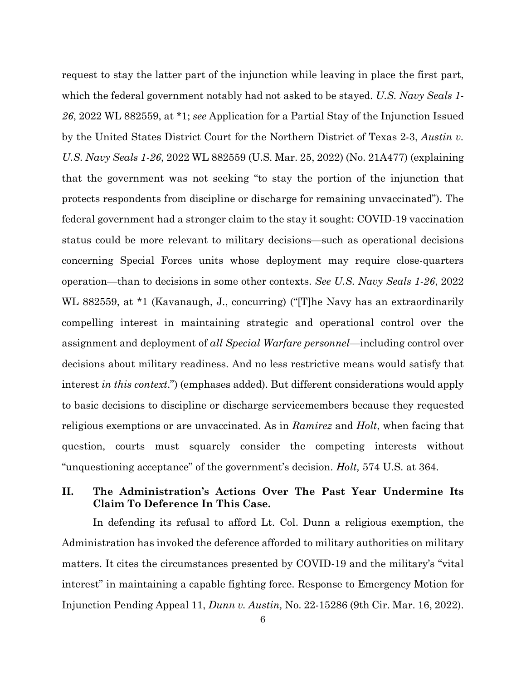request to stay the latter part of the injunction while leaving in place the first part, which the federal government notably had not asked to be stayed. *U.S. Navy Seals 1- 26*, 2022 WL 882559, at \*1; *see* Application for a Partial Stay of the Injunction Issued by the United States District Court for the Northern District of Texas 2-3, *Austin v. U.S. Navy Seals 1-26*, 2022 WL 882559 (U.S. Mar. 25, 2022) (No. 21A477) (explaining that the government was not seeking "to stay the portion of the injunction that protects respondents from discipline or discharge for remaining unvaccinated"). The federal government had a stronger claim to the stay it sought: COVID-19 vaccination status could be more relevant to military decisions—such as operational decisions concerning Special Forces units whose deployment may require close-quarters operation—than to decisions in some other contexts. *See U.S. Navy Seals 1-26*, 2022 WL 882559, at \*1 (Kavanaugh, J., concurring) ("[T]he Navy has an extraordinarily compelling interest in maintaining strategic and operational control over the assignment and deployment of *all Special Warfare personnel*—including control over decisions about military readiness. And no less restrictive means would satisfy that interest *in this context*.") (emphases added). But different considerations would apply to basic decisions to discipline or discharge servicemembers because they requested religious exemptions or are unvaccinated. As in *Ramirez* and *Holt*, when facing that question, courts must squarely consider the competing interests without "unquestioning acceptance" of the government's decision. *Holt,* 574 U.S. at 364.

## **II. The Administration's Actions Over The Past Year Undermine Its Claim To Deference In This Case.**

In defending its refusal to afford Lt. Col. Dunn a religious exemption, the Administration has invoked the deference afforded to military authorities on military matters. It cites the circumstances presented by COVID-19 and the military's "vital interest" in maintaining a capable fighting force. Response to Emergency Motion for Injunction Pending Appeal 11, *Dunn v. Austin,* No. 22-15286 (9th Cir. Mar. 16, 2022).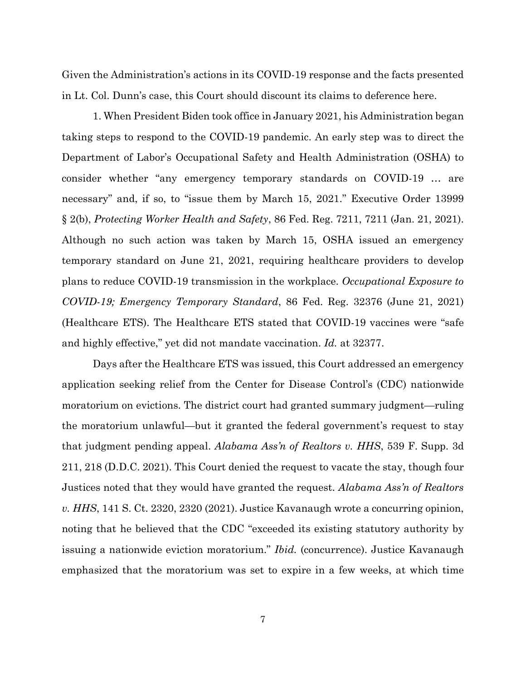Given the Administration's actions in its COVID-19 response and the facts presented in Lt. Col. Dunn's case, this Court should discount its claims to deference here.

1. When President Biden took office in January 2021, his Administration began taking steps to respond to the COVID-19 pandemic. An early step was to direct the Department of Labor's Occupational Safety and Health Administration (OSHA) to consider whether "any emergency temporary standards on COVID-19 … are necessary" and, if so, to "issue them by March 15, 2021." Executive Order 13999 § 2(b), *Protecting Worker Health and Safety*, 86 Fed. Reg. 7211, 7211 (Jan. 21, 2021). Although no such action was taken by March 15, OSHA issued an emergency temporary standard on June 21, 2021, requiring healthcare providers to develop plans to reduce COVID-19 transmission in the workplace. *Occupational Exposure to COVID-19; Emergency Temporary Standard*, 86 Fed. Reg. 32376 (June 21, 2021) (Healthcare ETS). The Healthcare ETS stated that COVID-19 vaccines were "safe and highly effective," yet did not mandate vaccination. *Id.* at 32377.

Days after the Healthcare ETS was issued, this Court addressed an emergency application seeking relief from the Center for Disease Control's (CDC) nationwide moratorium on evictions. The district court had granted summary judgment—ruling the moratorium unlawful—but it granted the federal government's request to stay that judgment pending appeal. *Alabama Ass'n of Realtors v. HHS*, 539 F. Supp. 3d 211, 218 (D.D.C. 2021). This Court denied the request to vacate the stay, though four Justices noted that they would have granted the request. *Alabama Ass'n of Realtors v. HHS*, 141 S. Ct. 2320, 2320 (2021). Justice Kavanaugh wrote a concurring opinion, noting that he believed that the CDC "exceeded its existing statutory authority by issuing a nationwide eviction moratorium." *Ibid.* (concurrence). Justice Kavanaugh emphasized that the moratorium was set to expire in a few weeks, at which time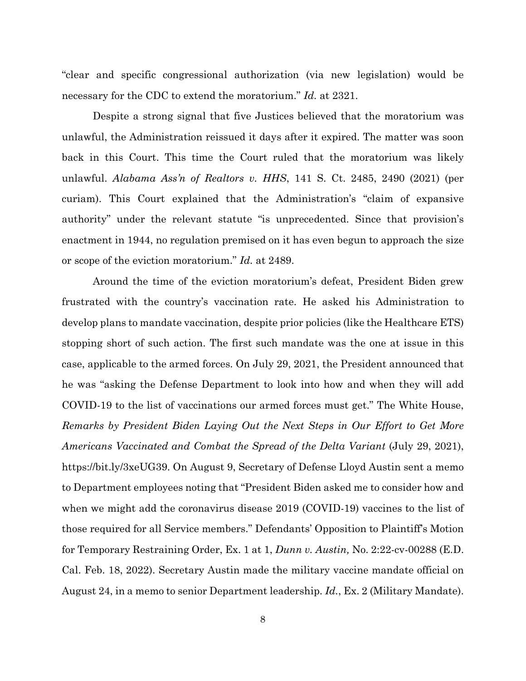"clear and specific congressional authorization (via new legislation) would be necessary for the CDC to extend the moratorium." *Id.* at 2321.

Despite a strong signal that five Justices believed that the moratorium was unlawful, the Administration reissued it days after it expired. The matter was soon back in this Court. This time the Court ruled that the moratorium was likely unlawful. *Alabama Ass'n of Realtors v. HHS*, 141 S. Ct. 2485, 2490 (2021) (per curiam). This Court explained that the Administration's "claim of expansive authority" under the relevant statute "is unprecedented. Since that provision's enactment in 1944, no regulation premised on it has even begun to approach the size or scope of the eviction moratorium." *Id.* at 2489.

Around the time of the eviction moratorium's defeat, President Biden grew frustrated with the country's vaccination rate. He asked his Administration to develop plans to mandate vaccination, despite prior policies (like the Healthcare ETS) stopping short of such action. The first such mandate was the one at issue in this case, applicable to the armed forces. On July 29, 2021, the President announced that he was "asking the Defense Department to look into how and when they will add COVID-19 to the list of vaccinations our armed forces must get." The White House, *Remarks by President Biden Laying Out the Next Steps in Our Effort to Get More Americans Vaccinated and Combat the Spread of the Delta Variant* (July 29, 2021), https://bit.ly/3xeUG39. On August 9, Secretary of Defense Lloyd Austin sent a memo to Department employees noting that "President Biden asked me to consider how and when we might add the coronavirus disease 2019 (COVID-19) vaccines to the list of those required for all Service members." Defendants' Opposition to Plaintiff's Motion for Temporary Restraining Order, Ex. 1 at 1, *Dunn v. Austin,* No. 2:22-cv-00288 (E.D. Cal. Feb. 18, 2022). Secretary Austin made the military vaccine mandate official on August 24, in a memo to senior Department leadership. *Id.*, Ex. 2 (Military Mandate).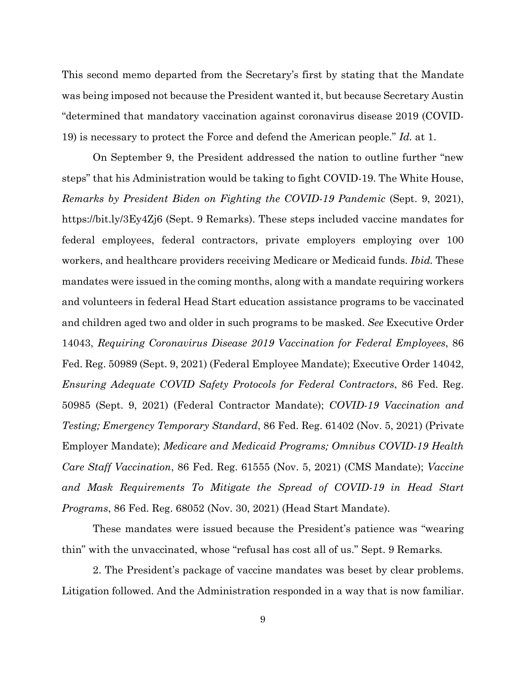This second memo departed from the Secretary's first by stating that the Mandate was being imposed not because the President wanted it, but because Secretary Austin "determined that mandatory vaccination against coronavirus disease 2019 (COVID-19) is necessary to protect the Force and defend the American people." *Id.* at 1.

On September 9, the President addressed the nation to outline further "new steps" that his Administration would be taking to fight COVID-19. The White House, *Remarks by President Biden on Fighting the COVID-19 Pandemic* (Sept. 9, 2021), https://bit.ly/3Ey4Zj6 (Sept. 9 Remarks). These steps included vaccine mandates for federal employees, federal contractors, private employers employing over 100 workers, and healthcare providers receiving Medicare or Medicaid funds. *Ibid.* These mandates were issued in the coming months, along with a mandate requiring workers and volunteers in federal Head Start education assistance programs to be vaccinated and children aged two and older in such programs to be masked. *See* Executive Order 14043, *Requiring Coronavirus Disease 2019 Vaccination for Federal Employees*, 86 Fed. Reg. 50989 (Sept. 9, 2021) (Federal Employee Mandate); Executive Order 14042, *Ensuring Adequate COVID Safety Protocols for Federal Contractors*, 86 Fed. Reg. 50985 (Sept. 9, 2021) (Federal Contractor Mandate); *COVID-19 Vaccination and Testing; Emergency Temporary Standard*, 86 Fed. Reg. 61402 (Nov. 5, 2021) (Private Employer Mandate); *Medicare and Medicaid Programs; Omnibus COVID-19 Health Care Staff Vaccination*, 86 Fed. Reg. 61555 (Nov. 5, 2021) (CMS Mandate); *Vaccine and Mask Requirements To Mitigate the Spread of COVID-19 in Head Start Programs*, 86 Fed. Reg. 68052 (Nov. 30, 2021) (Head Start Mandate).

These mandates were issued because the President's patience was "wearing thin" with the unvaccinated, whose "refusal has cost all of us." Sept. 9 Remarks*.*

2. The President's package of vaccine mandates was beset by clear problems. Litigation followed. And the Administration responded in a way that is now familiar.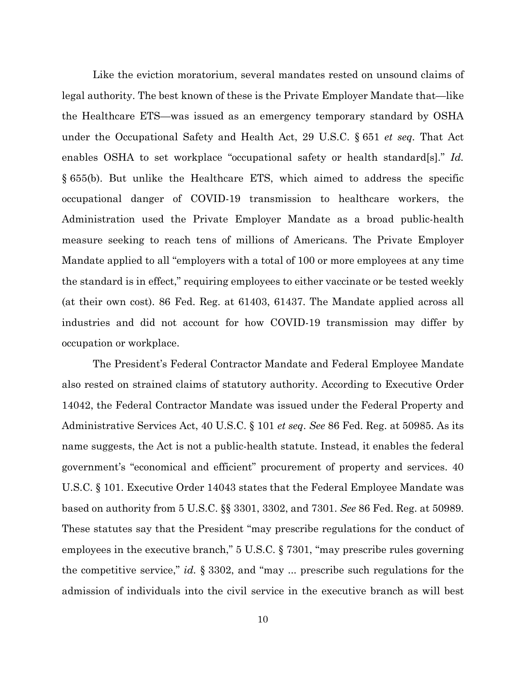Like the eviction moratorium, several mandates rested on unsound claims of legal authority. The best known of these is the Private Employer Mandate that—like the Healthcare ETS—was issued as an emergency temporary standard by OSHA under the Occupational Safety and Health Act, 29 U.S.C. § 651 *et seq.* That Act enables OSHA to set workplace "occupational safety or health standard[s]." *Id.* § 655(b). But unlike the Healthcare ETS, which aimed to address the specific occupational danger of COVID-19 transmission to healthcare workers, the Administration used the Private Employer Mandate as a broad public-health measure seeking to reach tens of millions of Americans. The Private Employer Mandate applied to all "employers with a total of 100 or more employees at any time the standard is in effect," requiring employees to either vaccinate or be tested weekly (at their own cost). 86 Fed. Reg. at 61403, 61437. The Mandate applied across all industries and did not account for how COVID-19 transmission may differ by occupation or workplace.

The President's Federal Contractor Mandate and Federal Employee Mandate also rested on strained claims of statutory authority. According to Executive Order 14042, the Federal Contractor Mandate was issued under the Federal Property and Administrative Services Act, 40 U.S.C. § 101 *et seq*. *See* 86 Fed. Reg. at 50985. As its name suggests, the Act is not a public-health statute. Instead, it enables the federal government's "economical and efficient" procurement of property and services. 40 U.S.C. § 101. Executive Order 14043 states that the Federal Employee Mandate was based on authority from 5 U.S.C. §§ 3301, 3302, and 7301. *See* 86 Fed. Reg. at 50989. These statutes say that the President "may prescribe regulations for the conduct of employees in the executive branch," 5 U.S.C. § 7301, "may prescribe rules governing the competitive service," *id.* § 3302, and "may ... prescribe such regulations for the admission of individuals into the civil service in the executive branch as will best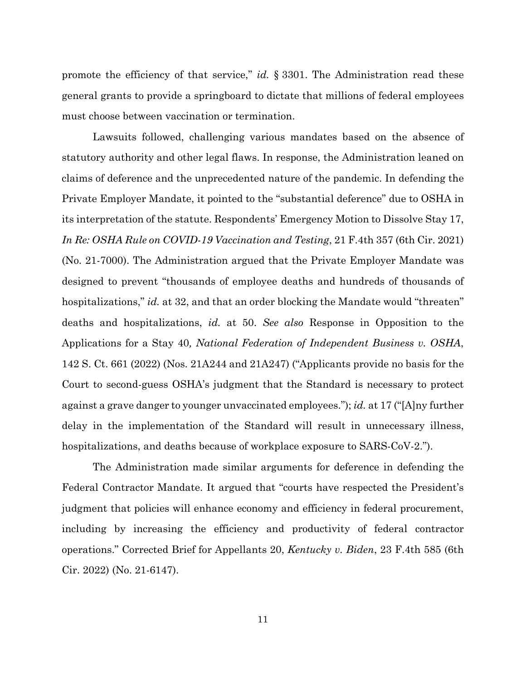promote the efficiency of that service," *id.* § 3301. The Administration read these general grants to provide a springboard to dictate that millions of federal employees must choose between vaccination or termination.

Lawsuits followed, challenging various mandates based on the absence of statutory authority and other legal flaws. In response, the Administration leaned on claims of deference and the unprecedented nature of the pandemic. In defending the Private Employer Mandate, it pointed to the "substantial deference" due to OSHA in its interpretation of the statute. Respondents' Emergency Motion to Dissolve Stay 17, *In Re: OSHA Rule on COVID-19 Vaccination and Testing*, 21 F.4th 357 (6th Cir. 2021) (No. 21-7000). The Administration argued that the Private Employer Mandate was designed to prevent "thousands of employee deaths and hundreds of thousands of hospitalizations," *id.* at 32, and that an order blocking the Mandate would "threaten" deaths and hospitalizations, *id.* at 50. *See also* Response in Opposition to the Applications for a Stay 40*, National Federation of Independent Business v. OSHA*, 142 S. Ct. 661 (2022) (Nos. 21A244 and 21A247) ("Applicants provide no basis for the Court to second-guess OSHA's judgment that the Standard is necessary to protect against a grave danger to younger unvaccinated employees."); *id.* at 17 ("[A]ny further delay in the implementation of the Standard will result in unnecessary illness, hospitalizations, and deaths because of workplace exposure to SARS-CoV-2.").

The Administration made similar arguments for deference in defending the Federal Contractor Mandate. It argued that "courts have respected the President's judgment that policies will enhance economy and efficiency in federal procurement, including by increasing the efficiency and productivity of federal contractor operations." Corrected Brief for Appellants 20, *Kentucky v. Biden*, 23 F.4th 585 (6th Cir. 2022) (No. 21-6147).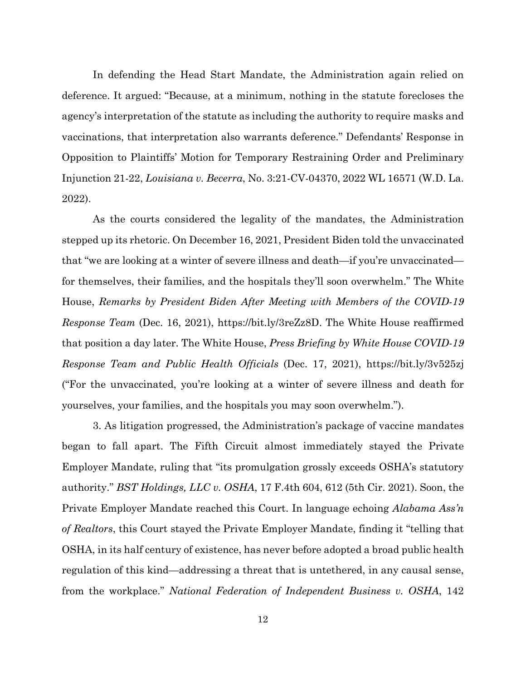In defending the Head Start Mandate, the Administration again relied on deference. It argued: "Because, at a minimum, nothing in the statute forecloses the agency's interpretation of the statute as including the authority to require masks and vaccinations, that interpretation also warrants deference." Defendants' Response in Opposition to Plaintiffs' Motion for Temporary Restraining Order and Preliminary Injunction 21-22, *Louisiana v. Becerra*, No. 3:21-CV-04370, 2022 WL 16571 (W.D. La. 2022).

As the courts considered the legality of the mandates, the Administration stepped up its rhetoric. On December 16, 2021, President Biden told the unvaccinated that "we are looking at a winter of severe illness and death—if you're unvaccinated for themselves, their families, and the hospitals they'll soon overwhelm." The White House, *Remarks by President Biden After Meeting with Members of the COVID-19 Response Team* (Dec. 16, 2021), https://bit.ly/3reZz8D. The White House reaffirmed that position a day later. The White House, *Press Briefing by White House COVID-19 Response Team and Public Health Officials* (Dec. 17, 2021), https://bit.ly/3v525zj ("For the unvaccinated, you're looking at a winter of severe illness and death for yourselves, your families, and the hospitals you may soon overwhelm.").

3. As litigation progressed, the Administration's package of vaccine mandates began to fall apart. The Fifth Circuit almost immediately stayed the Private Employer Mandate, ruling that "its promulgation grossly exceeds OSHA's statutory authority." *BST Holdings, LLC v. OSHA*, 17 F.4th 604, 612 (5th Cir. 2021). Soon, the Private Employer Mandate reached this Court. In language echoing *Alabama Ass'n of Realtors*, this Court stayed the Private Employer Mandate, finding it "telling that OSHA, in its half century of existence, has never before adopted a broad public health regulation of this kind—addressing a threat that is untethered, in any causal sense, from the workplace." *National Federation of Independent Business v. OSHA*, 142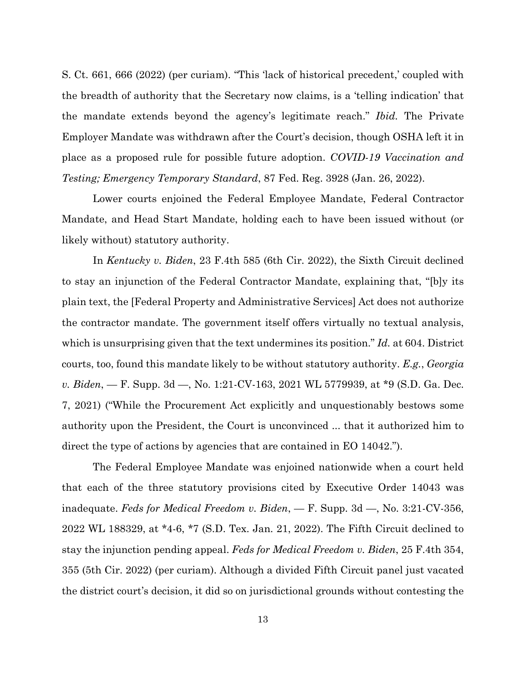S. Ct. 661, 666 (2022) (per curiam). "This 'lack of historical precedent,' coupled with the breadth of authority that the Secretary now claims, is a 'telling indication' that the mandate extends beyond the agency's legitimate reach." *Ibid.* The Private Employer Mandate was withdrawn after the Court's decision, though OSHA left it in place as a proposed rule for possible future adoption. *COVID-19 Vaccination and Testing; Emergency Temporary Standard*, 87 Fed. Reg. 3928 (Jan. 26, 2022).

Lower courts enjoined the Federal Employee Mandate, Federal Contractor Mandate, and Head Start Mandate, holding each to have been issued without (or likely without) statutory authority.

In *Kentucky v. Biden*, 23 F.4th 585 (6th Cir. 2022), the Sixth Circuit declined to stay an injunction of the Federal Contractor Mandate, explaining that, "[b]y its plain text, the [Federal Property and Administrative Services] Act does not authorize the contractor mandate. The government itself offers virtually no textual analysis, which is unsurprising given that the text undermines its position." *Id.* at 604. District courts, too, found this mandate likely to be without statutory authority. *E.g.*, *Georgia v. Biden*, — F. Supp. 3d —, No. 1:21-CV-163, 2021 WL 5779939, at \*9 (S.D. Ga. Dec. 7, 2021) ("While the Procurement Act explicitly and unquestionably bestows some authority upon the President, the Court is unconvinced ... that it authorized him to direct the type of actions by agencies that are contained in EO 14042.").

The Federal Employee Mandate was enjoined nationwide when a court held that each of the three statutory provisions cited by Executive Order 14043 was inadequate. *Feds for Medical Freedom v. Biden*, — F. Supp. 3d —, No. 3:21-CV-356, 2022 WL 188329, at \*4-6, \*7 (S.D. Tex. Jan. 21, 2022). The Fifth Circuit declined to stay the injunction pending appeal. *Feds for Medical Freedom v. Biden*, 25 F.4th 354, 355 (5th Cir. 2022) (per curiam). Although a divided Fifth Circuit panel just vacated the district court's decision, it did so on jurisdictional grounds without contesting the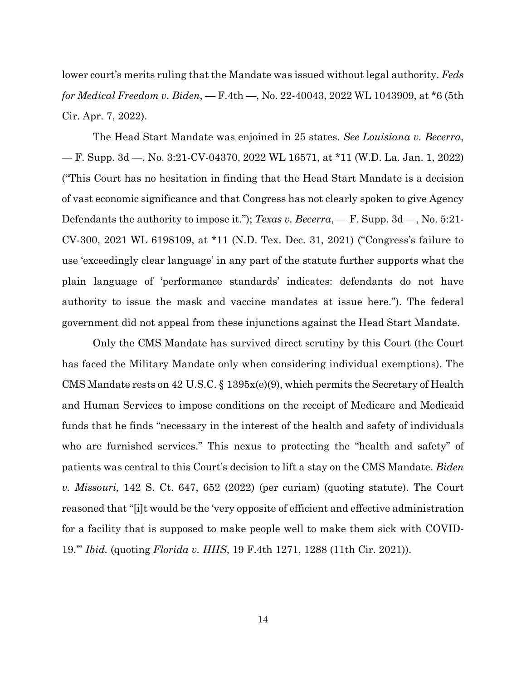lower court's merits ruling that the Mandate was issued without legal authority. *Feds for Medical Freedom v. Biden*, — F.4th —, No. 22-40043, 2022 WL 1043909, at \*6 (5th Cir. Apr. 7, 2022).

The Head Start Mandate was enjoined in 25 states. *See Louisiana v. Becerra*, — F. Supp. 3d —, No. 3:21-CV-04370, 2022 WL 16571, at \*11 (W.D. La. Jan. 1, 2022) ("This Court has no hesitation in finding that the Head Start Mandate is a decision of vast economic significance and that Congress has not clearly spoken to give Agency Defendants the authority to impose it."); *Texas v. Becerra*, — F. Supp. 3d —, No. 5:21- CV-300, 2021 WL 6198109, at \*11 (N.D. Tex. Dec. 31, 2021) ("Congress's failure to use 'exceedingly clear language' in any part of the statute further supports what the plain language of 'performance standards' indicates: defendants do not have authority to issue the mask and vaccine mandates at issue here."). The federal government did not appeal from these injunctions against the Head Start Mandate.

Only the CMS Mandate has survived direct scrutiny by this Court (the Court has faced the Military Mandate only when considering individual exemptions). The CMS Mandate rests on 42 U.S.C. § 1395x(e)(9), which permits the Secretary of Health and Human Services to impose conditions on the receipt of Medicare and Medicaid funds that he finds "necessary in the interest of the health and safety of individuals who are furnished services." This nexus to protecting the "health and safety" of patients was central to this Court's decision to lift a stay on the CMS Mandate. *Biden v. Missouri,* 142 S. Ct. 647, 652 (2022) (per curiam) (quoting statute). The Court reasoned that "[i]t would be the 'very opposite of efficient and effective administration for a facility that is supposed to make people well to make them sick with COVID-19.'" *Ibid.* (quoting *Florida v. HHS*, 19 F.4th 1271, 1288 (11th Cir. 2021)).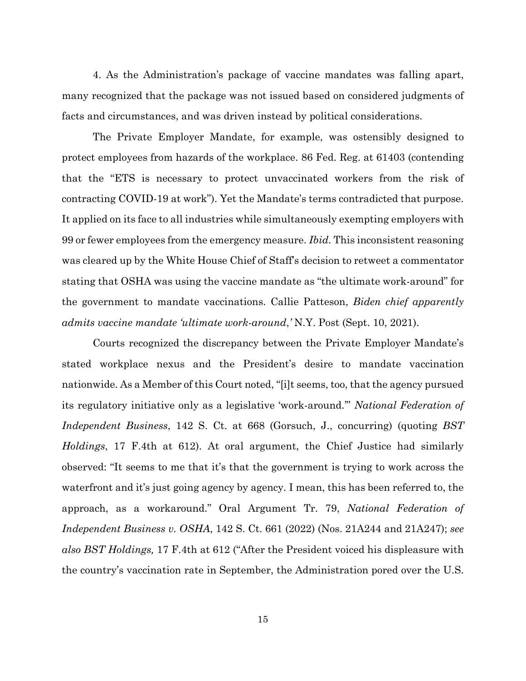4. As the Administration's package of vaccine mandates was falling apart, many recognized that the package was not issued based on considered judgments of facts and circumstances, and was driven instead by political considerations.

The Private Employer Mandate, for example, was ostensibly designed to protect employees from hazards of the workplace. 86 Fed. Reg. at 61403 (contending that the "ETS is necessary to protect unvaccinated workers from the risk of contracting COVID-19 at work"). Yet the Mandate's terms contradicted that purpose. It applied on its face to all industries while simultaneously exempting employers with 99 or fewer employees from the emergency measure. *Ibid.* This inconsistent reasoning was cleared up by the White House Chief of Staff's decision to retweet a commentator stating that OSHA was using the vaccine mandate as "the ultimate work-around" for the government to mandate vaccinations. Callie Patteson, *Biden chief apparently admits vaccine mandate 'ultimate work-around*,*'* N.Y. Post (Sept. 10, 2021).

Courts recognized the discrepancy between the Private Employer Mandate's stated workplace nexus and the President's desire to mandate vaccination nationwide. As a Member of this Court noted, "[i]t seems, too, that the agency pursued its regulatory initiative only as a legislative 'work-around.'" *National Federation of Independent Business*, 142 S. Ct. at 668 (Gorsuch, J., concurring) (quoting *BST Holdings*, 17 F.4th at 612). At oral argument, the Chief Justice had similarly observed: "It seems to me that it's that the government is trying to work across the waterfront and it's just going agency by agency. I mean, this has been referred to, the approach, as a workaround." Oral Argument Tr. 79, *National Federation of Independent Business v. OSHA*, 142 S. Ct. 661 (2022) (Nos. 21A244 and 21A247); *see also BST Holdings,* 17 F.4th at 612 ("After the President voiced his displeasure with the country's vaccination rate in September, the Administration pored over the U.S.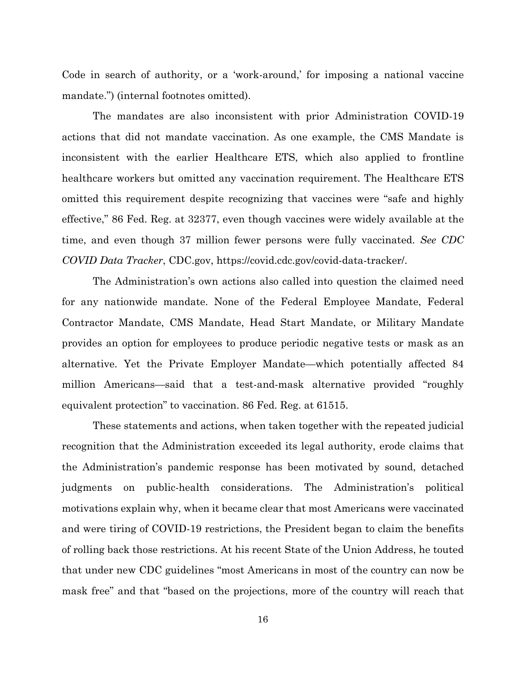Code in search of authority, or a 'work-around,' for imposing a national vaccine mandate.") (internal footnotes omitted).

The mandates are also inconsistent with prior Administration COVID-19 actions that did not mandate vaccination. As one example, the CMS Mandate is inconsistent with the earlier Healthcare ETS, which also applied to frontline healthcare workers but omitted any vaccination requirement. The Healthcare ETS omitted this requirement despite recognizing that vaccines were "safe and highly effective," 86 Fed. Reg. at 32377, even though vaccines were widely available at the time, and even though 37 million fewer persons were fully vaccinated. *See CDC COVID Data Tracker*, CDC.gov, https://covid.cdc.gov/covid-data-tracker/.

The Administration's own actions also called into question the claimed need for any nationwide mandate. None of the Federal Employee Mandate, Federal Contractor Mandate, CMS Mandate, Head Start Mandate, or Military Mandate provides an option for employees to produce periodic negative tests or mask as an alternative. Yet the Private Employer Mandate—which potentially affected 84 million Americans—said that a test-and-mask alternative provided "roughly equivalent protection" to vaccination. 86 Fed. Reg. at 61515.

These statements and actions, when taken together with the repeated judicial recognition that the Administration exceeded its legal authority, erode claims that the Administration's pandemic response has been motivated by sound, detached judgments on public-health considerations. The Administration's political motivations explain why, when it became clear that most Americans were vaccinated and were tiring of COVID-19 restrictions, the President began to claim the benefits of rolling back those restrictions. At his recent State of the Union Address, he touted that under new CDC guidelines "most Americans in most of the country can now be mask free" and that "based on the projections, more of the country will reach that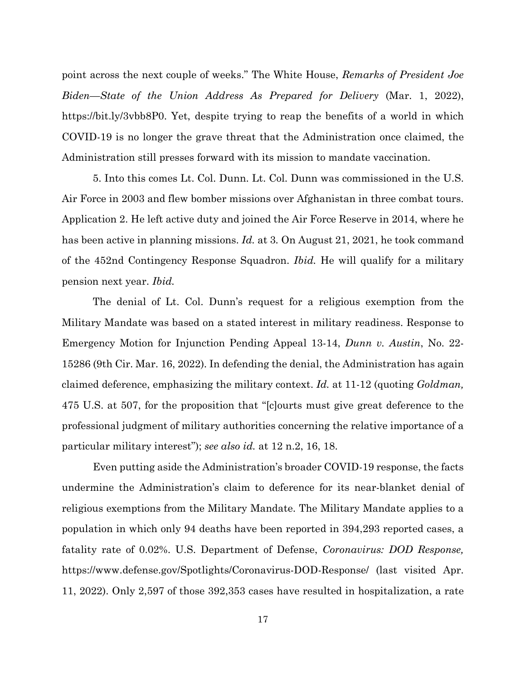point across the next couple of weeks." The White House, *Remarks of President Joe Biden—State of the Union Address As Prepared for Delivery* (Mar. 1, 2022), https://bit.ly/3vbb8P0. Yet, despite trying to reap the benefits of a world in which COVID-19 is no longer the grave threat that the Administration once claimed, the Administration still presses forward with its mission to mandate vaccination.

5. Into this comes Lt. Col. Dunn. Lt. Col. Dunn was commissioned in the U.S. Air Force in 2003 and flew bomber missions over Afghanistan in three combat tours. Application 2. He left active duty and joined the Air Force Reserve in 2014, where he has been active in planning missions. *Id.* at 3*.* On August 21, 2021, he took command of the 452nd Contingency Response Squadron. *Ibid.* He will qualify for a military pension next year. *Ibid.*

The denial of Lt. Col. Dunn's request for a religious exemption from the Military Mandate was based on a stated interest in military readiness. Response to Emergency Motion for Injunction Pending Appeal 13-14, *Dunn v. Austin*, No. 22- 15286 (9th Cir. Mar. 16, 2022). In defending the denial, the Administration has again claimed deference, emphasizing the military context. *Id.* at 11-12 (quoting *Goldman,*  475 U.S. at 507, for the proposition that "[c]ourts must give great deference to the professional judgment of military authorities concerning the relative importance of a particular military interest"); *see also id.* at 12 n.2, 16, 18.

Even putting aside the Administration's broader COVID-19 response, the facts undermine the Administration's claim to deference for its near-blanket denial of religious exemptions from the Military Mandate. The Military Mandate applies to a population in which only 94 deaths have been reported in 394,293 reported cases, a fatality rate of 0.02%. U.S. Department of Defense, *Coronavirus: DOD Response,*  https://www.defense.gov/Spotlights/Coronavirus-DOD-Response/ (last visited Apr. 11, 2022). Only 2,597 of those 392,353 cases have resulted in hospitalization, a rate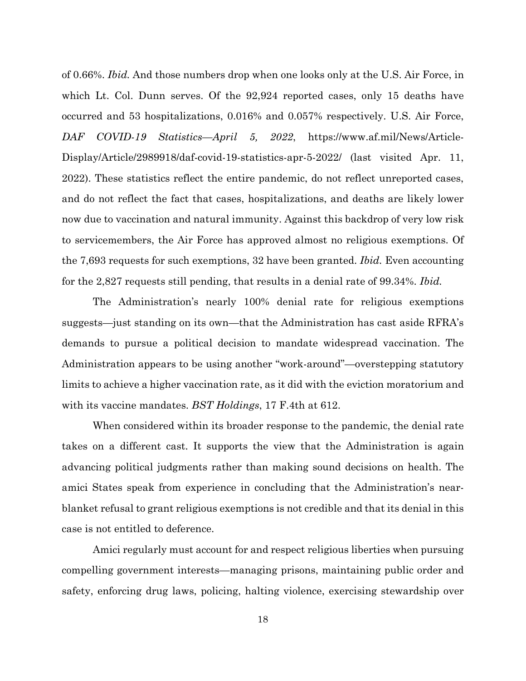of 0.66%. *Ibid.* And those numbers drop when one looks only at the U.S. Air Force, in which Lt. Col. Dunn serves. Of the 92,924 reported cases, only 15 deaths have occurred and 53 hospitalizations, 0.016% and 0.057% respectively. U.S. Air Force, *DAF COVID-19 Statistics—April 5, 2022*, https://www.af.mil/News/Article-Display/Article/2989918/daf-covid-19-statistics-apr-5-2022/ (last visited Apr. 11, 2022). These statistics reflect the entire pandemic, do not reflect unreported cases, and do not reflect the fact that cases, hospitalizations, and deaths are likely lower now due to vaccination and natural immunity. Against this backdrop of very low risk to servicemembers, the Air Force has approved almost no religious exemptions. Of the 7,693 requests for such exemptions, 32 have been granted. *Ibid.* Even accounting for the 2,827 requests still pending, that results in a denial rate of 99.34%. *Ibid.*

The Administration's nearly 100% denial rate for religious exemptions suggests—just standing on its own—that the Administration has cast aside RFRA's demands to pursue a political decision to mandate widespread vaccination. The Administration appears to be using another "work-around"—overstepping statutory limits to achieve a higher vaccination rate, as it did with the eviction moratorium and with its vaccine mandates. *BST Holdings*, 17 F.4th at 612.

When considered within its broader response to the pandemic, the denial rate takes on a different cast. It supports the view that the Administration is again advancing political judgments rather than making sound decisions on health. The amici States speak from experience in concluding that the Administration's nearblanket refusal to grant religious exemptions is not credible and that its denial in this case is not entitled to deference.

Amici regularly must account for and respect religious liberties when pursuing compelling government interests—managing prisons, maintaining public order and safety, enforcing drug laws, policing, halting violence, exercising stewardship over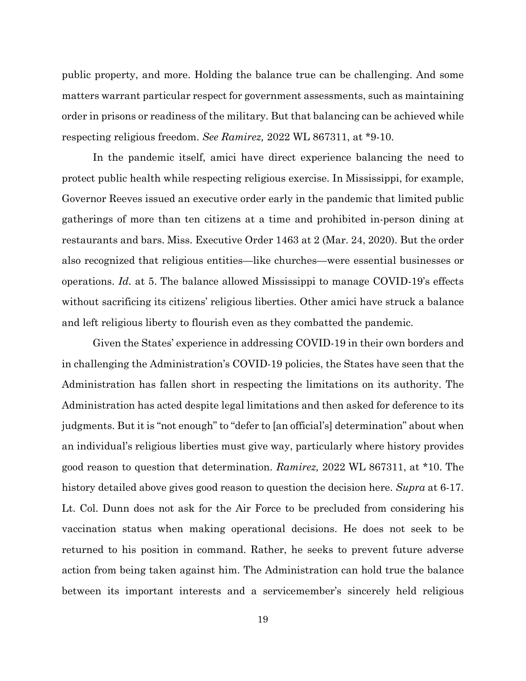public property, and more. Holding the balance true can be challenging. And some matters warrant particular respect for government assessments, such as maintaining order in prisons or readiness of the military. But that balancing can be achieved while respecting religious freedom. *See Ramirez,* 2022 WL 867311, at \*9-10.

In the pandemic itself, amici have direct experience balancing the need to protect public health while respecting religious exercise. In Mississippi, for example, Governor Reeves issued an executive order early in the pandemic that limited public gatherings of more than ten citizens at a time and prohibited in-person dining at restaurants and bars. Miss. Executive Order 1463 at 2 (Mar. 24, 2020). But the order also recognized that religious entities—like churches—were essential businesses or operations. *Id.* at 5. The balance allowed Mississippi to manage COVID-19's effects without sacrificing its citizens' religious liberties. Other amici have struck a balance and left religious liberty to flourish even as they combatted the pandemic.

Given the States' experience in addressing COVID-19 in their own borders and in challenging the Administration's COVID-19 policies, the States have seen that the Administration has fallen short in respecting the limitations on its authority. The Administration has acted despite legal limitations and then asked for deference to its judgments. But it is "not enough" to "defer to [an official's] determination" about when an individual's religious liberties must give way, particularly where history provides good reason to question that determination. *Ramirez,* 2022 WL 867311, at \*10. The history detailed above gives good reason to question the decision here. *Supra* at 6-17. Lt. Col. Dunn does not ask for the Air Force to be precluded from considering his vaccination status when making operational decisions. He does not seek to be returned to his position in command. Rather, he seeks to prevent future adverse action from being taken against him. The Administration can hold true the balance between its important interests and a servicemember's sincerely held religious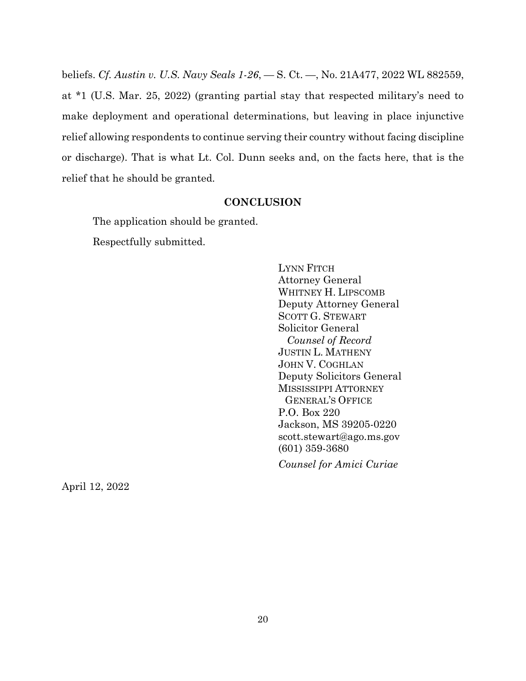beliefs. *Cf. Austin v. U.S. Navy Seals 1-26*, — S. Ct. —, No. 21A477, 2022 WL 882559, at \*1 (U.S. Mar. 25, 2022) (granting partial stay that respected military's need to make deployment and operational determinations, but leaving in place injunctive relief allowing respondents to continue serving their country without facing discipline or discharge). That is what Lt. Col. Dunn seeks and, on the facts here, that is the relief that he should be granted.

### **CONCLUSION**

The application should be granted.

Respectfully submitted.

LYNN FITCH Attorney General WHITNEY H. LIPSCOMB Deputy Attorney General SCOTT G. STEWART Solicitor General  *Counsel of Record* JUSTIN L. MATHENY JOHN V. COGHLAN Deputy Solicitors General MISSISSIPPI ATTORNEY GENERAL'S OFFICE P.O. Box 220 Jackson, MS 39205-0220 scott.stewart@ago.ms.gov (601) 359-3680 *Counsel for Amici Curiae*

April 12, 2022